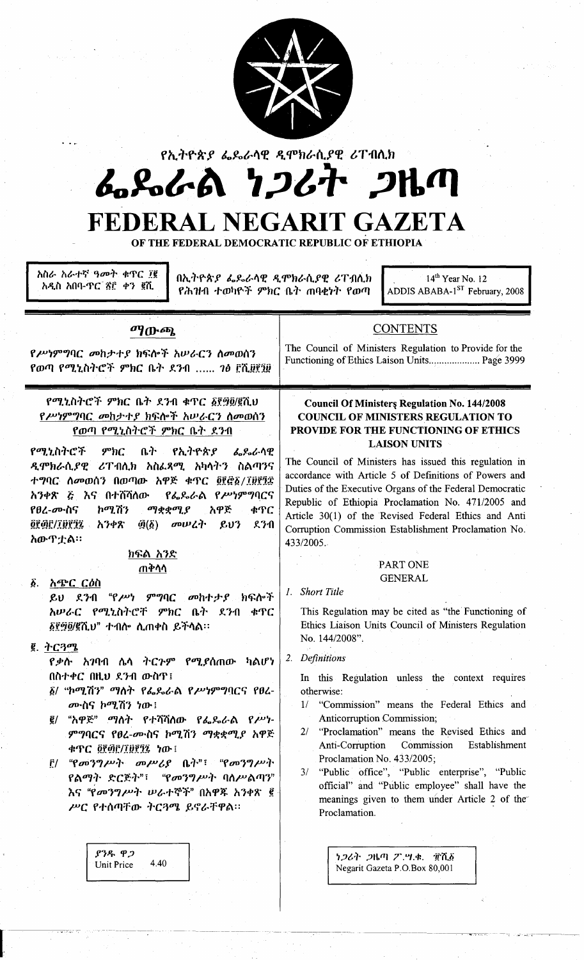

የኢትዮጵያ ፌጼራሳዊ ዲሞክራሲያዊ ሪፐብሲክ

# んぺんの ワンムナ フルク

## FEDERAL NEGARIT GAZETA

OF THE FEDERAL DEMOCRATIC REPUBLIC OF ETHIOPIA

አስራ አራተኛ ዓመት ቁጥር ፲፪ አዲስ አበባ-ዋር ሽ፫ ቀን ፪ሺ

በኢትዮጵያ ፌዴራሳዊ ዲሞክራሲያዊ ሪፐብሲክ የሕዝብ ተወካዮች ምክር ቤት ጠባቂነት የወጣ

14<sup>th</sup> Year No. 12 ADDIS ABABA-1<sup>ST</sup> February, 2008

## ማውጫ

## **CONTENTS** The Council of Ministers Regulation to Provide for the

Functioning of Ethics Laison Units..................... Page 3999

የሥነምግባር መከታተያ ክፍሎች አሠራርን ስመወሰን የወጣ የሚኒስትሮች ምክር ቤት ደንብ ...... 7ፅ ፫ሺ፱፻፺፱

የሚኒስትሮች ምክር ቤት ደንብ ቁጥር ፩፻፵፬/፪ሺህ የሥነምግባር መከታተያ ክፍሎች አሠራርን ስመወሰን <u>የወጣ የሚኒስትሮች ምክር ቤት ደንብ</u>

የሚኒስትሮች  $9^{\circ}$ hC ቤት የኢትዮጵያ ሌራራሳዊ ዲሞክራሲያዊ ሪፐብሲክ አስፌጻሚ አካሳትን ስልጣንና ተግባር ስመወሰን በወጣው አዋጅ ቁጥር ፬፻፸፩/፲፱፻፺፰ የፌዴራል የሥነምግባርና አንቀጽ ጅ እና በተሸሻለው የፀረ-ሙስና ኮሚሽን ማቋቋሚያ አዋጅ ቁጥር <u>@P@P/IDPIL</u> አንቀጽ  $\tilde{\mathfrak{g}}(\tilde{\mathfrak{g}})$  መሠረት  $803$ ደንብ አውጥቷል።

> ክፍል አንድ <u>ጠቅሳሳ</u>

ል አ<u>ጭር ርዕስ</u> ይህ ደንብ "የሥነ ምግባር መከተታያ ክፍሎች አሠራር የሚኒስትሮቸ ምክር ቤት ደንብ ቁጥር ፩፻፵፬/፪ሺህ" ተብሎ ሲጠቀስ ይችሳል።

- $g.$  ትርጓሜ
	- የቃሱ አገባብ ሌላ ትርጉም የሚያሰጠው ካልሆነ በስተቀር በዚህ ደንብ ውስጥ፤
	- ፩/ "ኮሚሽን" ማለት የፌዴራል የሥነምግባርና የፀረ-ሙስና ኮሚሽን ነው!
	- ፪/ "አዋጅ" ማስት የተሻሻሰው የፌዴራል የሥነ-ምግባርና የፀረ-ሙስና ኮሚሽን ማቋቋሚያ አዋጅ ቀጥር ፬፻፴፫/፲፱፻፺፯ ነው ፡
	- ፫/ "የመንግሥት መሥሪያ ቤት"፣ "የመንግሥት የልማት ድርጅት"፣ "የመንግሥት ባስሥልጣን" እና "የመንግሥት ሠራተኞች" በአዋጁ አንቀጽ ፪ ሥር የተሰጣቸው ትርጓሜ ይኖራቸዋል።

 $838.92$ Unit Price  $440$ 

## **Council Of Ministers Regulation No. 144/2008 COUNCIL OF MINISTERS REGULATION TO** PROVIDE FOR THE FUNCTIONING OF ETHICS **LAISON UNITS**

The Council of Ministers has issued this regulation in accordance with Article 5 of Definitions of Powers and Duties of the Executive Organs of the Federal Democratic Republic of Ethiopia Proclamation No. 471/2005 and Article 30(1) of the Revised Federal Ethics and Anti Corruption Commission Establishment Proclamation No. 433/2005.

## PART ONE **GENERAL**

1. Short Title

This Regulation may be cited as "the Functioning of Ethics Liaison Units Council of Ministers Regulation No. 144/2008".

2. Definitions

In this Regulation unless the context requires otherwise:

- "Commission" means the Federal Ethics and  $1/$ **Anticorruption Commission;**
- $2l$ "Proclamation" means the Revised Ethics and Commission Establishment Anti-Corruption Proclamation No. 433/2005;
- 3/ "Public office", "Public enterprise", "Public official" and "Public employee" shall have the meanings given to them under Article 2 of the Proclamation.

ነጋሪት ጋዜጣ ፖ.ሣ.ቁ. ፹ሺ፩ Negarit Gazeta P.O.Box 80,001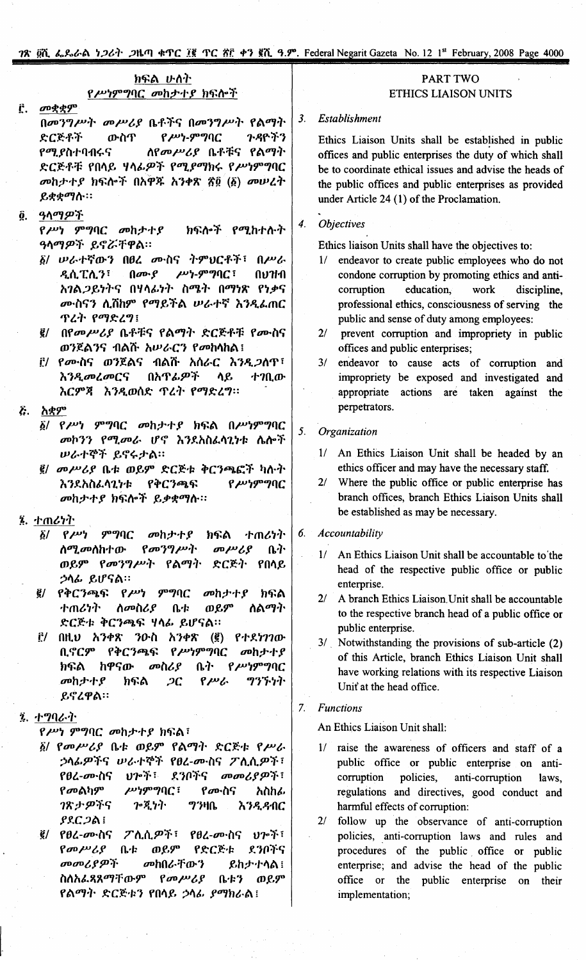## ክፍል ሁለት የሥነምግባር መከታተያ ክፍሎች

#### መቋቋም Ë.

በመንግሥት መሥሪያ ቤቶችና በመንግሥት የልማት ንዳዮችን  $P$  $P$  $P$ - $P$  $P$  $P$  $Q$ ድርጅቶች ውስጥ ስየመሥሪያ ቤቶቹና የልማት የ*ሚያ*ስተባብሩና ድርጅቶቹ የበላይ ሃላፊዎች የሚያማክሩ የሥነምግባር መከታተያ ክፍሎች በአዋች አንቀጽ ኛ፬ (፩) መሠረት ይቋቋማሱ።

ዓላማዎች Ô

> የሥነ ምግባር መከታተያ ክፍሎች የሚከተሱት ዓላማዎች ይኖሯቸዋል።

- ፩/ ሥራተኛውን በፀረ ሙስና ትምህርቶች፣ በሥራ  $\mu$ ''-ምግባ $C$ ዲሲፒሲን፣  $\theta$  and  $\theta$ กบาหา አገል ጋይነትና በሃላፊነት ስሜት በማነጽ የነቃና ሙስናን ሲሽከም የማይችል ሥራተኛ እንዲፌጠር ጥረት የማድረግ፤
- ፪/ በየመሥሪያ ቤቶቹና የልማት ድርጅቶቹ የሙስና ወንጀልንና ብልሹ አሠራርን የመከሳከል፤
- ፫/ የሙስና ወንጀልና ብልሹ አሰራር እንዲ*ጋ*ለጥ፣ በአጥፊዎች **እንዲመረመርና** ሳይ ተገቢው እርምጃ እንዲወሰድ ጥረት የማድረግ።

## ሯ. አቋም

- ፩/ የሥነ ምግባር መከታተያ ክፍል በሥነምግባር መኮንን የሚመራ ሆኖ እንደአስፌሳጊነቱ ሴሎች ሠራተኞች ይኖሩታል።
- ፪/ መሥሪያ ቤቱ ወይም ድርጅቱ ቅርንጫፎች ካሉት እንደአስፌሳጊነቱ የቅርንጫፍ የሥነምግባር መከታተያ ክፍሎች ይቃቋማስ።

## 7. ተጠሪነት

- ምግባር  $\tilde{\mathbf{Q}}$ /  $P^{\mu\nu}$ መከታተያ ክፍል ተጠሪነት መሥሪያ  $\beta$ መንግሥት <u>ስሚመለከተው</u> ቤት ወይም የመንግሥት የልማት ድርጅት የበላይ ኃሳፊ ይሆናል።
- *፪/ የቅርንጫፍ የሥነ* ምግባር መስታተያ ክፍል ተጠሪነት ወይም ስመስሪያ  $0 - F$ ለልማት ድርጅቱ ቅርንጫፍ ሃሳፊ ይሆናል።
- $(\vec{g})$  የተደነገገው ፫/ በዚህ አንቀጽ ንዑስ አንቀጽ የሥነምግባር ቢኖርም የቅርንጫፍ መከታተያ ከዋናው መስሪያ ቤት  $P^{\mu\nu}P^{\nu\sigma}P^{\sigma}P^{\sigma}$ ክፍል ክፍል ツツブ・ソイト መከታተያ  $2C$  $P^{\mu}$ ይኖረዋል።

## ② ナツりムート

የሥነ ምግባር መከታተያ ክፍል፣

- ፩/ የመሥሪያ ቤቱ ወይም የልማት ድርጅቱ የሥራ ኃላፊዎችና ሠራተኞች የፀረ-ሙስና ፖሲሲዎች፣ የፀረ-መ∙ስና ህን ች፣ ደንቦችና መመሪያዎች፣  $\mu$ <sup>19</sup>°90C ፣ የመልካም የሙስና አስከራ ንጽታዎችና **7.71**  $7340$ **እንዲዳብር ያደርጋል**፤
- ህን ች፣ ፪/ የፀረ-*σ*ውስና ፖሊሲ*ዎች*፣ የፀረ-መነስና  $\beta$   $\sigma$   $\mu$   $\lambda$   $\beta$ ቤቱ ወይም የድርጅቱ ደንቦችና መመሪያዎች መከበራቸውን ይከታተሳል ! ስስአፌጻጸማቸውም  $\beta$ <sub>*m* $\mu$ </sub> ቤቱን ወይም የልማት ድርጅቱን የበላይ ኃላፊ *ያማክ*ራል፤

## **PART TWO ETHICS LIAISON UNITS**

#### $3<sub>1</sub>$ Establishment

Ethics Liaison Units shall be established in public offices and public enterprises the duty of which shall be to coordinate ethical issues and advise the heads of the public offices and public enterprises as provided under Article 24 (1) of the Proclamation.

#### $\ddot{4}$ . **Objectives**

Ethics liaison Units shall have the objectives to:

- 1/ endeavor to create public employees who do not condone corruption by promoting ethics and anticorruption education. work discipline, professional ethics, consciousness of serving the public and sense of duty among employees:
- $2/$ prevent corruption and impropriety in public offices and public enterprises;
- 3/ endeavor to cause acts of corruption and impropriety be exposed and investigated and appropriate actions are taken against the perpetrators.

#### $5<sub>1</sub>$ Organization

- 1/ An Ethics Liaison Unit shall be headed by an ethics officer and may have the necessary staff.
- 2/ Where the public office or public enterprise has branch offices, branch Ethics Liaison Units shall be established as may be necessary.

#### 6. Accountability

- 1/ An Ethics Liaison Unit shall be accountable to the head of the respective public office or public enterprise.
- 2/ A branch Ethics Liaison Unit shall be accountable to the respective branch head of a public office or public enterprise.
- 3/ Notwithstanding the provisions of sub-article (2) of this Article, branch Ethics Liaison Unit shall have working relations with its respective Liaison Unit' at the head office.

#### $7<sup>1</sup>$ **Functions**

An Ethics Liaison Unit shall:

- 1/ raise the awareness of officers and staff of a public office or public enterprise on anticorruption policies, anti-corruption laws. regulations and directives, good conduct and harmful effects of corruption:
- 2/ follow up the observance of anti-corruption policies, anti-corruption laws and rules and procedures of the public office or public enterprise; and advise the head of the public office or the public enterprise on their implementation;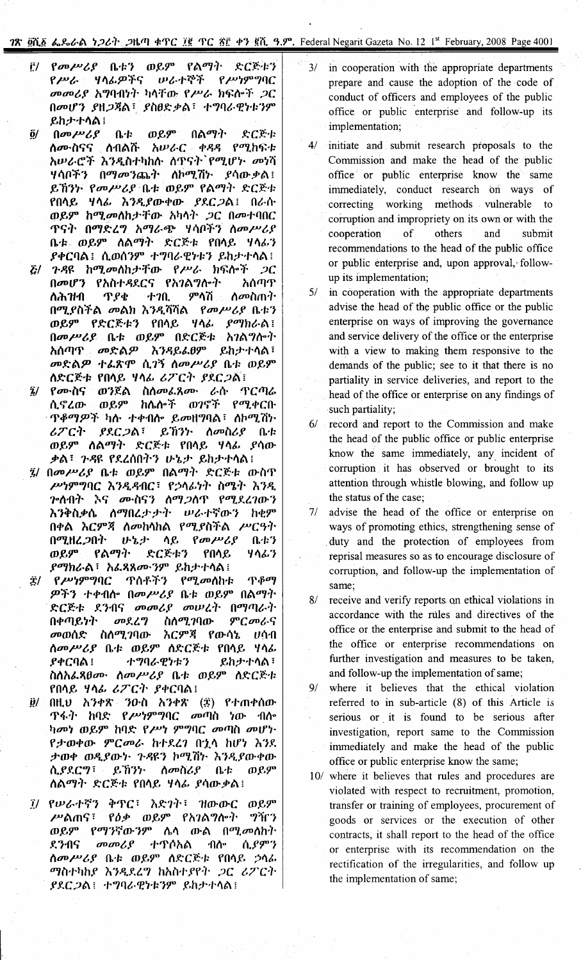## 18 ghe 6,866 126<sup>1</sup>, 2k<sup>4</sup> eff X° (X° ff & 8). Federal Negarit Gazeta No. 12 1st February, 2008 Page 4001

- <mark>i:/ የመሥሪያ ቤቱን ወይም የልማት ድርጅቱን</mark><br>የሥራ ሃሳፊዎችና ሠራተኞች የሥነምግባር r /»/ro 1/"~fIJ"fCj *lPt,.t-cr1'* r */»~9"'7CJC መመሪያ አግ*ባብነት ካላቸው የሥራ ክፍሎች *ጋ*ር Ooo{fJ *fH;J;qA* -: *fflfJY::PA* -: *.t-'7CJt,'l?~'~')9"* **ይከታተሳል** ፡
- *21* Ooo/»/,f o.'~ ro~9" 0A*DrI')' Y:C~'~* **ስሙስናና ሰብልሹ አሠራር ቀ***ዳዳ* **የሚከ**ፍቱ *h=*~1177 [111611] ስጋ ዕር ተገባባ ተገበባ የ<br>አሠራሮች እንዲስተካከሱ ሰጥናት የሚሆኑ *መነ*ሻ 1/*t\*(I"fJ 001J00 JlJd..)' fIt1Dr1. 7j~ *f t\* £Dc*:P*A ~ ~ln.,. roo/»/,f f1~tD~9" rA01J.). *Y:C~'~* ro"~ I/"~ hJ"tf£Dc4>£Dc *fY.C;J{;U O/ron'* ወይም ከሚመለከታቸው አካላት *ጋ*ር በመተባበር T Cj.}' ODrl*Y:l* '7 h *DrI/ro*6J}' 1/*t\*(I"fJ *f\* 00 /» /, *f*  $0.4$ - ወይም ለልማት ድርጅቱ የበሳይ ሃሳ*ሌ*ን *f4>CCJA~.* I\ronJ9" *+'7CJ/ro'l?~'~J ~h;r't-"A* ~
- $E/$  ጉዳዩ ከሚመለከታቸው የሥራ ክፍሎች *ጋ*ር በመሆን የአስተ*ዳ*ደርና የአ*ገ*ልግሎት አሰጣጥ f\rh1f11 T *f4:* +10. 9",,7j *f\ooflm')'* በሚያስችል መልክ እንዲሻሻል *የመሥሪያ* ቤቱን *ወይም የድርጅቱን የበላይ ዛላል ያማክራል* ፡ በመሥሪያ ቤቱ ወይም በድርጅቱ *አገ*ልግሎት *አስጣጥ . መድልዎ እንዳይፌፀም ይከታተ*ሳል፣ *መ*ድል*ዎ* ተ*ል*ጽሞ ሲ*ገ*ኝ ስመሥሪያ ቤቱ ወይም *ስ*ድርጅቱ የበሳይ ሃሳፊ ሪፖርት *ያ*ደር*ጋ*ል፡
- *፤/ የሙ*ስና ወንጀል ስለመፌጸሙ ራሱ ዋርጣራ ሲኖረው ወይም ከሴሎች ወ*ገ*ኖች የሚቀርቡ *· ጥቆማዎች ካ*ሱ ተቀብሎ ይመዘግባል፣ ስኮሚሽኮ */,TC.}' fy'C;JA* -: ~ l1J~' *f\oofl/,f* f1'~ *OJ~,9" f\ADrI'). Y:C~~* rn"~ I/"~ *ft\£Dc :J>A*-: 1-~~ ry.lnn.}'J *(J-'1.;r ~h;r+"A* i
- *~I* Ooo/»/,f o..~ ro~9" OADrI')' *Y:C~'~* £DcflT */»~9"'7CJC <sup>h</sup>* J"t~11C -: r~"~ ~.), flOlJ..), *<sup>h</sup>* J~. *ጉ*ሰብት እና ሙስናን ለማ*ጋ*ስጥ የሚደረገውን *h* J~fl:Pn. *f\DrInl;r* ;r,l. *lPt,'t-~£Dc') h4:9"* n4>A *hC9";q f\ooh"hA* rDrl.ffl1'A */»CC}')'*  $\mathsf{OPT}$ .  $\mathsf{PT}$  and  $\mathsf{PT}$  and  $\mathsf{OPT}$  and  $\mathsf{PT}$  and  $\mathsf{PT}$  and  $\mathsf{PT}$ *ወይም የልማት ድርጅቱን የበ*ሳይ ሃሳፊ*ን fDrlnt,A* -: h&.~?go,J9" *~h;r.t-"A* ~
- $\ddot{\mathcal{I}}$ / የሥነምግባር ጥሰቶችን የሚመለከቱ ጥቆማ  $\mathcal{P}$ ችን ተቀብሎ በመሥሪያ ቤቱ ወይም በልማት *Y:C~~* Y.J11Cj *oooo/,f oolPl')'* nDrlfTJt,.). በቀጣይነት *መ*ደረግ ስለሚገባው ምር*መ*ራና *OOOJnY: flf\* tPJ.1CJ£Dc *h* C9";Q r £Dc*t\* '1. *Vt\* 11 *f\oo/»/,f* f1'~ *OJ~9"f\Y:C~'1;* rn"~ I/"~ *f4>CCJA* ~ *+'7CJ/ro'l?~~J ~h;r.t-"A* -: flf\h&.~fJgo, *f\oo/»/,f* fb'~ ro~9" *f\Y:C~'~* rn"~ I/"~ */'TC')' f4>CCJA* ~
- *il/* በዚህ አንቀጽ ንዑስ አንቀጽ (፰) የተጠቀሰው  $T$ ፋት ከባድ የ*ሥነምግ*ባር መጣስ ነው ብሎ *ካመነ ወይም ከ*ባድ የሥነ ምግባር መጣስ መሆነ· r;rro4>£Dc *9"Coot, h,t-Y.l1* 0'1" hlf~ *h')Y. ታወቀ ወዲያ*ውን *ጉዳ*ዩን ኮሚሽኮ እንዲያውቀው<br>ሲያደርግ፣ ይኸንኮ ለመስሪያ ቤቱ ወይም *ሲያ*ደርግ፣ ይኸንነ *ለመስሪያ* ቤቱ *f\ADrI')' Y:C~'~* rn"~ I/"~ *ft\£Dc:PA* ~
- *፲*/ የሥራተኛን ቅጥር፣ እድንት፣ ዝውውር ወይም *ሥ*ልጠና፣ የ*ዕቃ ወይም የአገ*ልግሎት ግዥን *OJ~9"* rDrl')~£DcJ9" *t\A* £DcA *ODrl.oof\h')' Y.*J11Cj *oooo/,f ,t-T(lhA 11f\--* I\f9"') *ስመሥሪያ* ቤቱ ወይም ለድርጅቱ የበሳይ *ኃ*ሳራ *DrIfl.t-2-Jhf h')P'.Y.l'7 hhil.t-* fr')' ;JC */,TC')' fY.C;JA* ~ *'t-'7CJt,'l?~'~')9" ~,h;r't-"A* i
- 3/ in cooperation with the appropriate departments prepare and cause the adoption of the. code of conduct of officers and employees of the public office or public enterprise and follow-up its implementation;
- 4/ initiate and submit research proposals to the Commission and make the head of the public office or public enterprise know the same immediately, conduct research on ways of correcting working methods vulnerable to corruption and impropriety on its own or with the cooperation of others and submit recommendations to the head of the public office or public enterprise and, upon approval, followup its implementation;
- 5/ in cooperation with the appropriate departments advise the head of the public office or the public enterprise on ways of improving the governance and service delivery of the office or the enterprise with a view to making them responsive to the demands of the public; see to it that there is no partiality in service deliveries, and report to the head of the office or enterprise on any findings of such partiality;
- 6/ record and report to the Commission and make the head. of the public office or public enterprise know the same immediately, any incident of corruption it has observed or brought to its attention through whistle blowing, and follow up the status of the case;
- 7/ advise the head of the office or enterprise on ways of promoting ethics, strengthening sense of . duty and the protection of employees from reprisal measures so as to encourage disclosure of corruption, and follow-up the implementation of same;
- 8/ receive and verify reports on ethical violations in accordance with the niles and directives of the office or the enterprise and submit to the head of the office or enterprise recommendations on further investigation and measures to be taken, and follow-up the implementation of same;
- 9/ where it believes that the ethical violation referred to in sub-article (8) of this Article is serious or. it is found to be serious after investigation, report same to the Commission immediately and make the head of the public office or public enterprise know the same;
- 10/ where it believes that rules and procedures are violated with respect to recruitment, promotion, transfer or training of employees, procurement of goods or services or the execution of other contracts, it shall report to the head of the office or enterprise with its recommendation on the rectification of the irregularities, and follow up the implementation of same;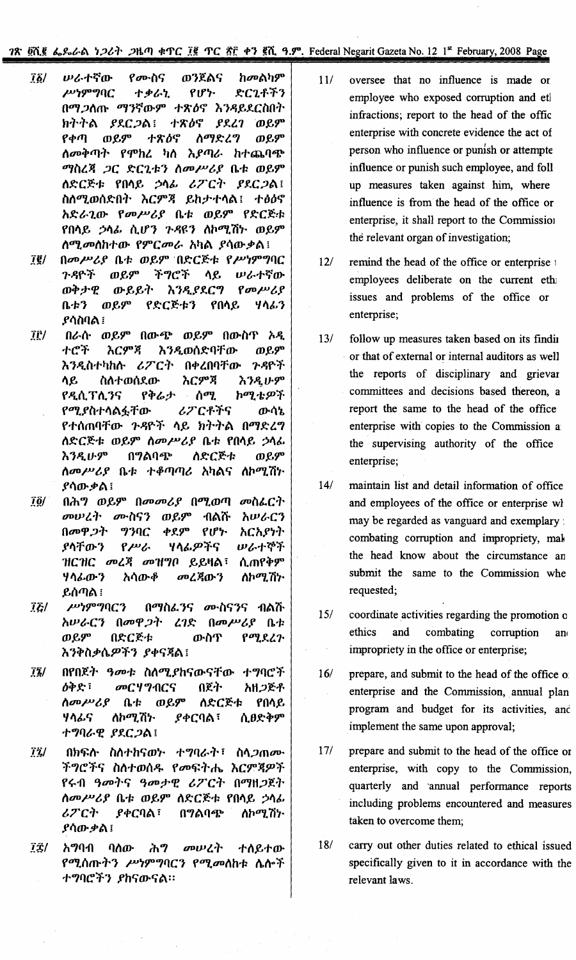78 Ωλβ 6, S. 6 1267 DHM & TC IR TC RF + 3 RR 9.9°. Federal Negarit Gazeta No. 12 1st February, 2008 Page

- ከመልካም ሠራተኛው የሙስና ወንጀልና  $\vec{16}$  $\mu$ '1909 $\eta$ C **ナタራ**ን. የሆ≻ ድርጊቶችን በማ.2ሰጡ ማንኛውም ተጽዕኖ እንዳይደርስበት ክትትል ያደርጋል! ተጽዕኖ  $PRA$   $0P$  $P \phi$  $\eta$ ወይም ተጽዕኖ ስማድረግ ወይም *ስመቅ*ጣት የምከረ ካስ እያጣራ ከተጨባጭ ማስረጃ ጋር ድርጊቱን ስመሥሪያ ቤቱ ወይም ለድርጅቱ የበሳይ ኃሳፊ ሪፖርት ያደርጋል! ስስሚወሰድበት እርምጃ ይከታተሳል፤ ተፅዕኖ አድራጊው የመሥሪያ ቤቱ ወይም የድርጅቱ የበሳይ ኃሳፊ ሲሆን ጉዳዩን ለኮሚሽኮ ወይም ስሚመስከተው የምርመራ አካል ያሳውቃል!
- በመሥሪያ ቤቱ ወይም በድርጅቱ የሥነምግባር  $\vec{I}$ g/ ወይም ጉዳዮች ችግሮች ላይ ゆんすぞの  $\beta$ ወቅታዊ ውይይት እንዲያደርግ  $0.43$ ወይም የድርጅቱን የበሳይ ሃላፊን ያሳስባል ፤
- īË/ በራሱ ወይም በውጭ ወይም በውስጥ አዲ ተሮች እርምጃ እንዲወሰድባቸው ወይም እንዲስተካከሱ ሪፖርት በቀረበባቸው <u>ንዳዮች</u> እርምጃ ሳይ ስሰተወሰደው እንዲሁም ኮሚቴዎች የዲሲፕሲንና የቅሬታ ሰሚ የሚያስተሳልፏቸው ሪፖርቶችና ውሳኔ የተሰጠባቸው ንዳዮች ሳይ ክትትል በማድረግ ለድርጅቱ ወይም ስመሥሪያ ቤቱ የበላይ ኃላፊ እንዲሁም በግልባጭ ስድርጅቱ ወይም ሰመሥሪያ ቤቱ ተቆጣጣሪ አካልና ለኮሚሽኮ ያሳው ቃል ፤
- በሕግ ወይም በመመሪያ በሚወጣ መስፌርት ïĝ∕ መሠረት ሙስናን ወይም ብልሹ አሠራርን በመዋጋት **939C** ቀደም  $PIP'$ አርአያነት **ሃላ**ፊ*ዎ*ችና ያሳቸውን  $P^{\mu\nu}$ ゆんすやチ ዝርዝር መረጃ መዝግቦ ይይዛል፣ ሲጠየቅም ሃሳፊውን አሳውቆ መረጃውን ስኮሚሽኮ ይሰጣል ፡
- ሥነምግባርን በማስፌ*ንና ሙ*ስናንና ብልሹ  $\vec{l}$ አሠራርን በመዋጋት  $\mathcal{L}1\mathcal{L}$  $\theta$ መሥሪያ ቤቱ ወይም በድርጅቱ ውስጥ የሚደረጉ እንቅስቃሴዎችን ያቀናጃል፤
- $72/$ በየበጀት ዓመቱ ስለሚያከናውናቸው ተግባሮች ዕቅድ፣ መርሃግብርና በጀት አዘ*ጋ*ጅቶ ስመሥሪያ ወይም የበላይ  $\mathbf{a}$ ለድርጅቱ ሃሳፊና ለኮሚሽኑ ያቀርባል፣ ሲፀድቅም ተግባራዊ ያደርጋል!
- $\vec{l}$ በክፍሱ ስስተከናወኮ ተግባራት፣ ስላ*ጋ*ጠሙ ችግሮችና ስስተወሰዱ የመፍትሔ እርምጃዎች የሩብ ዓመትና ዓመታዊ ሪፖርት በማዘጋጀት ስመሥሪያ ቤቱ ወይም ስድርጅቱ የበሳይ ኃሳፊ ሪፖርት **ያቀርባል**፣ በግልባጭ ለኮሚሽታ ያሳው ቃል ፤
- $\overline{12}$ / አማባብ ባስው ሕግ መሠረት ተሰይተው የሚሰጡትን ሥነምግባርን የሚመለከቱ ሴሎች ተግባሮችን ያከናውናል።
- $11/$ oversee that no influence is made or employee who exposed corruption and etl infractions; report to the head of the offic enterprise with concrete evidence the act of person who influence or punish or attempte influence or punish such employee, and foll up measures taken against him, where influence is from the head of the office or enterprise, it shall report to the Commission the relevant organ of investigation;
- $12/$ remind the head of the office or enterprise 1 employees deliberate on the current eth issues and problems of the office or enterprise;
- $13/$ follow up measures taken based on its findin or that of external or internal auditors as well the reports of disciplinary and grievar committees and decisions based thereon, a report the same to the head of the office enterprise with copies to the Commission a the supervising authority of the office enterprise;
- $14/$ maintain list and detail information of office and employees of the office or enterprise wh may be regarded as vanguard and exemplary: combating corruption and impropriety, mak the head know about the circumstance an submit the same to the Commission whe requested;
- $15/$ coordinate activities regarding the promotion of ethics and combating corruption an impropriety in the office or enterprise;
- $16/$ prepare, and submit to the head of the office of enterprise and the Commission, annual plan program and budget for its activities, and implement the same upon approval;
- $17/$ prepare and submit to the head of the office or enterprise, with copy to the Commission, quarterly and annual performance reports including problems encountered and measures taken to overcome them;
- $18/$ carry out other duties related to ethical issued specifically given to it in accordance with the relevant laws.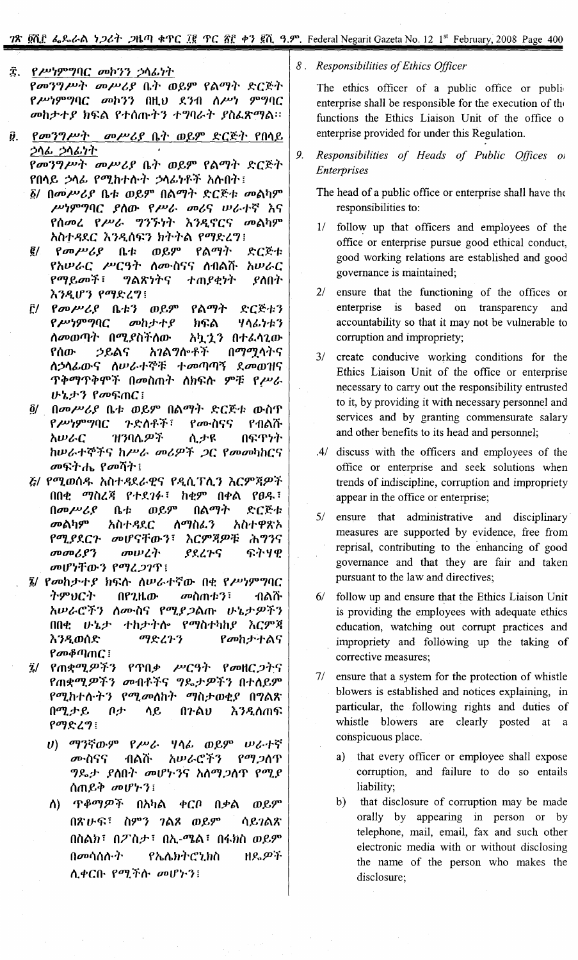## 18 Ph.F &.&&A *1, 26<sup>1</sup>* .2th & 4TC Ig TC Af +7 Rn 9.9". Federal Negarit Gazeta No. 12 1st February, 2008 Page 400

- $\ddot{x}$ . *የሥነምግ*ባር *መኮንን ኃ*ላፊነት *የመንግሥት መሥሪያ* ቤት ወይም የልማት ድርጅት f *!»~9""Jl]C* ootJ" OH.U y.,oO II!»~ *9""Jl]C ooh~1'* Y h~A f1''''nrT' *1''''Jl]t--:'~* Yll &..\$cry*t\::*
- *ii. የመንግሥት መሥሪያ* ቤት ወይም ድርጅት የበሳይ *~I\~* ~,,~ *~~r የመንግሥት መሥሪያ ቤት ወይም የልማት ድርጅት*

**የበላይ ኃላፊ የሚከተሱት ኃላፊነቶች አሱበት**፣

- $\tilde{\beta}$ / በመሥሪያ ቤቱ ወይም በልማት ድርጅቱ መልካም *!»~9""Jl]*C YIIlD- f !» t-- oo/,*e; lP t--1'~* "1.*e;* f"'ool f!»t-- *"J,J.~:'~ "1.,-\ «fCe;* oot\fJ9" *hIlT~Y.C 'h,-\"'~, h~rTt\ fDIJ5':l"'J* i
- ፪/ *የመሥሪያ* ቤቱ ወይም የልማት ድርጅቱ f *hLPt--C* !»Co,T *IIUD-olle;e;* lloOt\it *hlPt--C* fDIJ.eoo:f: *"'Jt\1\~Te; 1'mY~~:'~* YIIO~r እንዲሆን የ**ማድረ**ግ፣
- $E'/$  *የመሥሪያ* ቤቱን ወይም የልማት ድርጅቱን f *!»~9""Jl]C ooh;/'1'* Y h~t\ l/*I\~* ~~p, II*oorotlJT* 001J.YII:f IIlD- h t.l.'1, 0 l' *&..1\*1.lDfሰው *ኃ*ይልና አ*ገ*ልግሎቶች በማሚሳትና *1I~"~lD- e; IIlP* t--1' Cf':t: l' *oofl]fl}~* Y.00 *rolle;*  $T^*$ <sub>1</sub> T<sup>4</sup> T7<sup>4</sup> T<sub>7</sub> Open T<sub>7</sub> Open T<sub>7</sub> Open T<sub>7</sub> Open T<sub>7</sub> Open T7 Open T7 Open T7 Open T7 Open T7 Open T7 Open T7 Open T7 Open T7 Open T7 Open T7 Open T7 Open T7 Open T7 Open T7 Open T7 Open T7 Open T7 Open T7 Open *ኔታን የመፍጠር i*
- *g/* . Ooo!»/,Y o.~p ro.e9" Ot\DIJ~)~*5':C~1: lD-1I1' የሥነምግ*ባር *ጉድስቶች*፣ የሙስናና የብልሹ *አሡራር ዝን*ባሌ*ዎች* ሲ*ታዩ* በፍዋነት *hlPt--1'Cf':fe; h!»t--* oo/'\$D:f *;JC* foooofJhce; *መ*ፍትሔ የመሻት፤
- *ξ/ የሚወ*ሰዱ አስተዳደራዊና የዲሲፕሲን እርምጃዎች fln~ *DIJlIlJ{* f1' *Y.1~* : *h~9"* n4>t\ f8~ : በመሥሪያ ቤቱ ወይም በልማት ድርጅቱ *መ*ልካም *አስተዳ*ደር ሰማስፌን አስተዋጽኦ *f01J.YY.Cr oolfe;rlD-,: 'hC9"J{\$D:t: fh"'J,e; መመሪያን መሠረት ያደረጉና* ፍትሃዊ *oolf~rlD-,* fDIJl;J11' i
- . ~/ fooh;/'1' Y h~~ *talPt--~"~lD-* n~ f *!»~9""JllC ትምህርት በየጊዜው መስጠቱን*፣ ብልሹ *አሡራሮችን ስሙስና የሚያጋ*ልጡ ሁኔታ*ዎችን* nn~ *IF'l.;/'* 1'h;/'~)~/to fDIJlIrfJhY *'hC9"J{ እንዲ*ወሰድ ማድረጉን የ*መ*ከታተልና f *oo~fl]mC* ;
- $\ddot{a}$ / የጠቋሚዎችን የጥበቃ ሥርዓት የመዘር $\dot{\rho}$ ትና fm\*01J.\$D'f, oooOf.'fe; *"'J~;/'\$D'f,* n1'II.e9" f01J.h~"ta'~r, f01J.oollh')~ DIJII;/'ro~Y *O"'Jt\1\* በሚታይ በታ ሳይ በ**ንልሀ እ**ንዲሰጠፍ *fDIJ5':l"'J* i
	- *u*) ማንኛውም የሥራ ሃሳፊ ወይም ሥራተኛ *መ*·ስናና ብልሹ *አሡራሮችን የማጋ*ሰዋ *ግ*ዶታ ያስበት መሆኑንና አስማ*ጋ*ስጥ የሚያ ሰጠይቅ መሆ*ኑ*ን!
	- ለ) *ጥቆማዎች* በአካል ቀርቦ በቃል ወይም በጽሁፍ፣ ስምን *ገ*ልጾ ወይም <sup>1</sup> ሳይ*ገ*ልጽ በስልክ፣ በ $T$ ስታ፣ በኢ-ሜል፣ በፋክስ ወይም በመሳሰሱ*ት* የኤሴክትሮኒክስ ዘዴ*ዎች*  $\Lambda$ ቀርቡ የሚችሱ መሆኑን!

8. *Responsibilities of Ethics Officer*

The ethics officer of a public office or publienterprise shall be responsible for the execution of the functions the Ethics Liaisoh Unit of the office 0 enterprise provided for under this Regulation.

- 9. *Responsibilities of Heads of Public Offices OJ Enterprises*
	- The head of a public office or enterprise shall have the responsibilities to:
	- 1/ follow up that officers and employees of the office or enterprise pursue good ethical conduct, good working relations are established and good governance is maintained;
	- *21* ensure that the functioning of the offices or enterprise is based on transparency and accountability so that it may not be vulnerable to corruption and impropriety;
	- *31* create conducive working conditions for the Ethics Liaison Unit of the office or enterprise necessary to carry out the responsibility entrusted to it, by providing it with necessary personnel and services and by granting commensurate salary and other benefits to its head and personnel;
	- *AI* discuss with the officers and employees of the office or enterprise and seek solutions when trends of indiscipline, corruption and impropriety appear in the office or enterprise;
	- *51* ensure that administrative and disciplinary measures are supported by evidence, free from reprisal, contributing to the enhancing of good governance and that they are fair and taken pursuant to the law and directives;
	- 6/ follow up and ensure that the Ethics Liaison Unit is providing the employees with adequate ethics education, watching out corrupt practices and impropriety and following up the taking of corrective measures;
	- *71* ensure that a system for the protection of whistle blowers is established and notices explaining, in particular, the following rights and duties of whistle blowers are clearly posted at a conspicuous place.
		- a) that every officer or employee shall expose corruption, and failure to do so entails liability;
		- b) that disclosure of corruption may be made orally by appearing in person or by telephone, mail, email, fax and such other electronic media with or without disclosing the name of the person who makes the disclosure;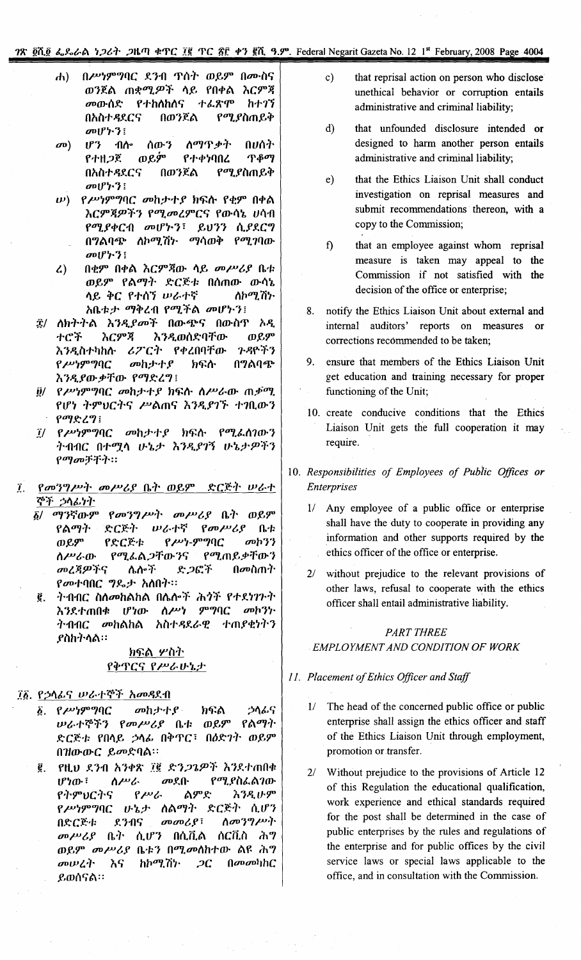## 28. QR Q & & & B + 26+ 2km + TC IR TC TF + 7 QR 3.9". Federal Negarit Gazeta No. 12 1st February, 2008 Page 4004

- በሥነምግባር ደንብ ጥሰት ወይም በሙስና  $\bf{d}$ ወንጀል ጠቋሚዎች ሳይ የበቀል እርምጃ *መ*ውሰድ የተክለከለና ተፈጽም **h**+77 በወንጀል የሚያስጠይቅ በአስተዳደርና መሆኑን!
- ስማጥቃት  $\sigma$ <sup>o</sup>)  $\mathbf{U}^2$ ብሎ ሰውን በሀሰት ወይም የተዘ*ጋ*ጀ የተቀነባበረ **T**<sup>80</sup> በአስተዳደርና በወንጀል *የሚያ*ስጠይቅ  $\omega_0 \mathfrak{p}' + \gamma_1$
- $\ket{w}$  የሥነምግባር መከታተያ ክፍሱ የቂም በቀል እርምጃዎችን የሚመረምርና የውሳኔ ሀሳብ የሚያቀርብ መሆኮን፣ ይህንን ሲያደርግ *ስኮሚሽኑ ማሳወቅ የሚገ*ባው በግልባጭ  $\omega$ <sub>U</sub><sup> $\uparrow$ </sup>)<sup>:</sup>
- በቂም በቀል እርምጃው ሳይ መሥሪያ ቤቱ  $\mathcal{L}$ ወይም የልማት ድርጅቱ በሰጠው ውሳኔ ላይ ቅር የተሰኘ ሥራተኛ ለኮሚሽ፦ አቤቱታ ማቅረብ የሚችል መሆኑን፤
- ፰/ ለክትትል እንዲያመች በውጭና በውስጥ አዲ ተሮች አርምጃ እንዲወሰድባቸው ወይም ሪፖርት የቀረበባቸው ንዳዮችን እንዲስተካከሱ የሥነምግባር መከታተያ ክፍሱ በግልባጭ እንዲያውቃቸው የማድረግ፤
- <u>ii/ የሥነምግባር መከታተያ ክፍሱ ስሥራው ጠቃሚ</u> የሆነ ትምህርትና ሥልጠና እንዲያገኙ ተገቢውን የማድረግ፤
- $I$ / የሥነምግባር መከታተያ ክፍስ የሚፌስገውን ትብብር በተሟላ ሁኔታ እንዲያገኝ ሁኔታዎችን የማመቻቸት።
- $\vec{I}$ . የመንግሥት መሥሪያ ቤት ወይም ድርጅት ሠራተ ኞች ኃላፊነት
	- ማንኛውም *የመንግሥት መሥሪያ* ቤት ወይም δ/ የልማት ድርጅት ルムトኛ  $\beta$  *an*  $\mu$  $\mathbf{a}$ ወይም የድርጅቱ  $P$  $P^{\nu}P$ - $P^{\nu}P$  $C$ መኮንን የሚፌል*ጋ*ቸውንና የሚጠይቃቸውን ስሥራው ሌሎች መረጃዎችና ድ*ጋ*ፎች በመስጠት የመተባበር ግዴታ አስበት።
	- ፪. ትብብር ስስመከልከል በሌሎች ሕጎች የተደነገጉት እንደተጠበቁ ሆነው ሰሥነ ምግባር መከንኮ ትብብር መከልከል አስተዳደራዊ ተጠያቂነትን ያስከትሳል።

## ክፍል ሦስት የቅጥርና የሥራሁኔታ

## ፲፩. የኃሳፊና ሠራተኞች አመዳደብ

- $\delta$ . የሥነምግባር መከታተያ ኃሳፊና ክፍል ወይም *ሠራተኞችን የመሥሪያ* ቤቱ የልማት ድርጅቱ የበሳይ ኃሳፊ በቅጥር፣ በዕድገት ወይም በዝውውር ይመድባል።
- የዚህ ደንብ አንቀጽ ፲፪ ድን*ጋጌዎች እን*ደተጠበቀ ĝ. ስሥራ  $IPYD-7$  $\omega$ ደብ የሚያስፌልገው የትምህርትና  $P^{\mu\nu}$ ልምድ አንዲሁም የሥነምግባር ሁኔታ ሰልማት ድርጅት ሲሆን *ስመንግሥት*  $\omega$  $\omega$ <sub> $\beta$ </sub>: በድርጅቱ ደንብና መሥሪያ ቤት ሲሆን በሲቪል ሰርቪስ ሕግ ወይም መሥሪያ ቤቱን በሚመስከተው ልዩ ሕግ ከኮሚሽነ·  $[1000]$ መሠረት እና  $2C$ ይወሰናል።
- $c)$ that reprisal action on person who disclose unethical behavior or corruption entails administrative and criminal liability;
- $\mathbf{d}$ that unfounded disclosure intended or designed to harm another person entails administrative and criminal liability;
- $e)$ that the Ethics Liaison Unit shall conduct investigation on reprisal measures and submit recommendations thereon, with a copy to the Commission;
- f) that an employee against whom reprisal measure is taken may appeal to the Commission if not satisfied with the decision of the office or enterprise;
- 8. notify the Ethics Liaison Unit about external and internal auditors' reports on measures or corrections recommended to be taken;
- ensure that members of the Ethics Liaison Unit get education and training necessary for proper functioning of the Unit;
- 10. create conducive conditions that the Ethics Liaison Unit gets the full cooperation it may require.
- 10. Responsibilities of Employees of Public Offices or **Enterprises** 
	- 1/ Any employee of a public office or enterprise shall have the duty to cooperate in providing any information and other supports required by the ethics officer of the office or enterprise.
	- without prejudice to the relevant provisions of  $2/$ other laws, refusal to cooperate with the ethics officer shall entail administrative liability.

## **PART THREE** EMPLOYMENT AND CONDITION OF WORK

## 11. Placement of Ethics Officer and Staff

- 1/ The head of the concerned public office or public enterprise shall assign the ethics officer and staff of the Ethics Liaison Unit through employment, promotion or transfer.
- 2/ Without prejudice to the provisions of Article 12 of this Regulation the educational qualification, work experience and ethical standards required for the post shall be determined in the case of public enterprises by the rules and regulations of the enterprise and for public offices by the civil service laws or special laws applicable to the office, and in consultation with the Commission.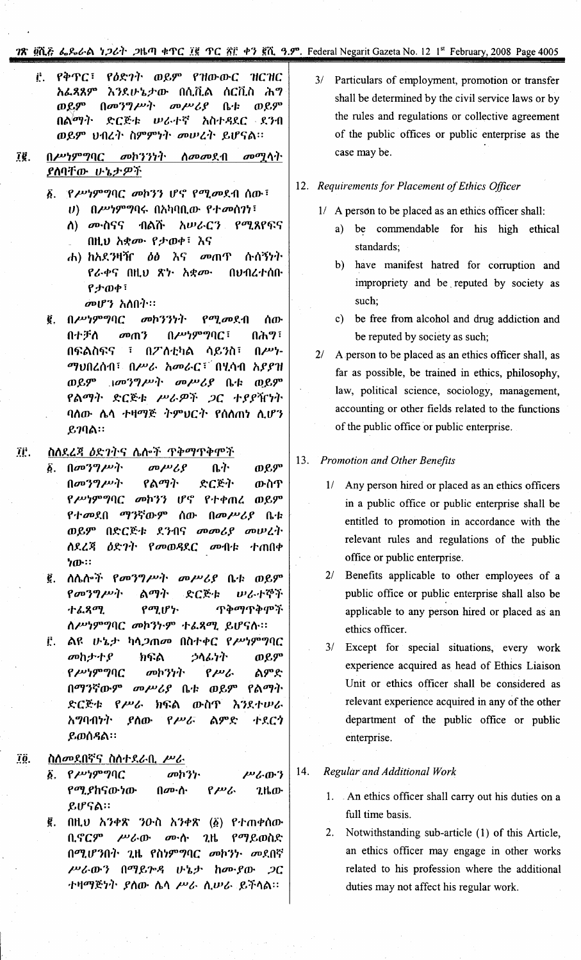## TR DLE 6.866A 1261 2HM 4TC IR TC RF +7 RL 9.9°. Federal Negarit Gazeta No. 12 1<sup>st</sup> February, 2008 Page 4005

የዕድገት ወይም የዝውውር  $\mathbf{r}$ የቅጥር፣  $HC$ <u>አራ.ጻጸም</u> እንደሁኔታው በሲቪል ሰርቪስ ሕግ  $(100 \frac{30}{2})$  $\omega \mu \nu \lambda$ ወይም ወይም  $\mathbf{a}$ ድርጅቱ ሥራተኛ አስተዳደር ደንብ በልማት ወይም ህብረት ስምምነት መሠረት ይሆናል፡፡

#### በሥነምግባር መኮንንነት ï₿. ሰመመደብ  $\sigma$ ውማ ላ $\eta$ ያስባቸው ሁኔታዎች

- ፩. የሥነምግባር መኮንን ሆኖ የሚመደብ ሰው፤
	- $\boldsymbol{\theta}$ ) በሥነምግባሩ በአካባቢው የተመሰገነ፤
	- <u>ለ) መነስናና</u> ብልሹ አሠራርን የሚጸየፍና በዚህ አቋሙ የታወቀ፣ እና
	- $\delta\theta$   $\lambda$ ሱስኝንት ሐ) ክአደንዛዥ መጠጥ የራቀና በዚህ ጽነ አቋሙ በህብረተሰቡ የታወቀ፣
		- መሆን አለበት።
- ፪. በሥነምግባር  $\sigma$ <sup>0</sup> $\gamma$ <sup>2</sup> $\gamma$ <sup>1</sup> የሚመደብ ሰው በሕግ፣  $0$  *whp*  $90C$   $\vdots$ በተቻለ መጠን በፍልስፍና ፣ በፖለቲካል ሳይንስ፣  $\mathbf{u}$ . ማህበረሰብ፣ በሥራ አመራር፣ በሂሳብ አያያዝ ወይም ነመንግሥት መሥሪያ ቤቱ ወይም የልማት ድርጅቱ ሥራዎች ጋር ተያያዥነት ባሰው ሴሳ ተዛማጅ ትምህርት የሰሰጠነ ሲሆን  $879$ ል።

#### TË. ስለደረጃ ዕድገትና ሌሎች ጥቅማጥቅምች

- $\delta$ .  $\left[\frac{\partial \mathbf{v}}{\partial \rho^2}, \frac{\partial \mathbf{v}}{\partial \rho^2}\right]$ . ቤት ወይም  $\omega \mu \nu \gamma$  $[10039/\nu +$ የልማት ድርጅት ውስጥ *የሥነምግ*ባር *መ*ኮንን ሆኖ የተቀጠረ ወይም የተመደበ ማንኛውም ሰው በመሥሪያ ቤቱ ወይም በድርጅቱ ደንብና መመሪያ መሠረት ለደረጃ ዕድገት የመወዳደር መብቱ ተጠበቀ  $70$
- ፪. ስሴሎች የመንግሥት መሥሪያ ቤቱ ወይም ድርጅቱ  $\beta$ <sub>*a*<sup>0</sup> $\gamma$ <sup>9</sup> $\mu$ <sup>3</sup> $\cdots$ </sub> ልማት いんすや下 ተፈጸሚ የሚሆኑ ጥቅማጥቅሞች ስሥነምግባር መኮንኮም ተፌጻሚ ይሆናስ፡፡
- ፫. ልዩ ሁኔ*ታ* ካላ*ጋ*ጠመ በስተቀር የ*ሥነ*ምግባር መስታተያ ክፍል うへんケト ወይም የሥነምግባር መኮንነት  $P^{\mu\nu}$ ልምድ በማንኛውም መሥሪያ ቤቱ ወይም የልማት ድርጅቱ የሥራ ክፍል ውስጥ እንደተሠራ አማባብነት -ያስው  $P^{\mu\nu}$ ልምድ ተደርጎ ይወሰዳል።

#### ÏÖ. ስሰመደበኛና ስስተደራቢ ሥራ

- ፩. የሥነምግባር መከንነ ሥራውን የ*ሚያ*ከናውነው በሙስ  $P^{\mu\nu}$  $2.16$   $\sigma$ ይሆናል።
- ፪. በዚህ አንቀጽ ንዑስ አንቀጽ (፩) የተጠቀሰው ቢኖርም ሥራው ሙሱ ጊዜ የማይወስድ በሚሆንበት ጊዜ የስነምግባር መኮንነ መደበኛ ሥራውን በማይጕዳ ሁኔታ ከሙያው ጋር ተዛማጅነት ያስው ሴሳ ሥራ ሲሠራ ይችሳል።

3/ Particulars of employment, promotion or transfer shall be determined by the civil service laws or by the rules and regulations or collective agreement of the public offices or public enterprise as the case may be.

## 12. Requirements for Placement of Ethics Officer

- 1/ A person to be placed as an ethics officer shall:
	- a) be commendable for his high ethical standards;
	- b) have manifest hatred for corruption and impropriety and be reputed by society as such;
	- c) be free from alcohol and drug addiction and be reputed by society as such;
- 2/ A person to be placed as an ethics officer shall, as far as possible, be trained in ethics, philosophy, law, political science, sociology, management, accounting or other fields related to the functions of the public office or public enterprise.

## 13. Promotion and Other Benefits

- 1/ Any person hired or placed as an ethics officers in a public office or public enterprise shall be entitled to promotion in accordance with the relevant rules and regulations of the public office or public enterprise.
- 2/ Benefits applicable to other employees of a public office or public enterprise shall also be applicable to any person hired or placed as an ethics officer.
- 3/ Except for special situations, every work experience acquired as head of Ethics Liaison Unit or ethics officer shall be considered as relevant experience acquired in any of the other department of the public office or public enterprise.

#### 14. **Regular and Additional Work**

- 1. An ethics officer shall carry out his duties on a full time basis.
- $2.$ Notwithstanding sub-article (1) of this Article, an ethics officer may engage in other works related to his profession where the additional duties may not affect his regular work.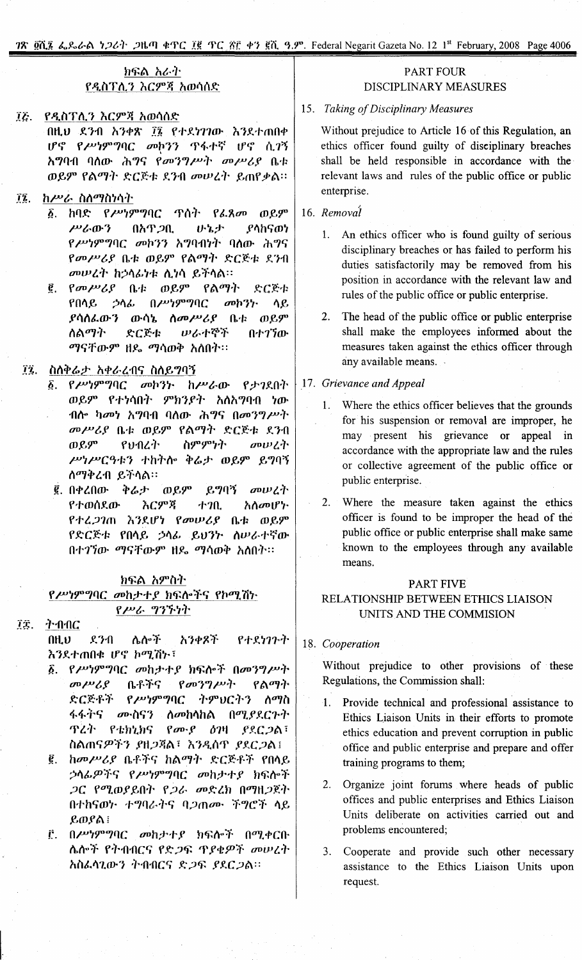1'1\ *2it} t..~Ir(;\ ~;Jt,).* ;Jtl.fTl *~~C* H *~C?!'E* ""} ~ill}.9". Federal NegaritGazetaNo. 12 1st February, 2008 Page4006

| <b>7ጽ ፬ሺ፮ ፌ</b> ዴራል ነ <i>ጋሪት ጋ</i> ዜጣ ቀጥር ፲፪ ጥር ፳፫ ቀን ፪ሺ ዓ.ም. Federal Negarit Gazeta No. 12 1 <sup>st</sup> February, 2008 Page 4006                                                                                                                                                                                                                                                                                                                                                        |                                                                                                                                                                                                                                                                                                                                                                                                                                                                                                                                                         |
|---------------------------------------------------------------------------------------------------------------------------------------------------------------------------------------------------------------------------------------------------------------------------------------------------------------------------------------------------------------------------------------------------------------------------------------------------------------------------------------------|---------------------------------------------------------------------------------------------------------------------------------------------------------------------------------------------------------------------------------------------------------------------------------------------------------------------------------------------------------------------------------------------------------------------------------------------------------------------------------------------------------------------------------------------------------|
| ክፍል አራት<br>የዲስፐሊን እርምጃ አወሳሰድ                                                                                                                                                                                                                                                                                                                                                                                                                                                                | <b>PART FOUR</b><br>DISCIPLINARY MEASURES                                                                                                                                                                                                                                                                                                                                                                                                                                                                                                               |
| የዲስፐሊን እርምጃ አወሳሰድ<br>ĨĒ.<br>በዚህ ደንብ አንቀጽ ፲፮ የተደነገገው እንደተጠበቀ<br>ሆኖ የሥነምግባር መኮንን ጥፋተኛ ሆኖ ሲገኝ<br><i>አግ</i> ባብ ባሰው ሕ <i>ግ</i> ና የመንግሥት መሥሪያ ቤቱ<br>ወይም የልማት ድርጅቱ ደንብ መሠረት ይጠየቃል።                                                                                                                                                                                                                                                                                                                 | 15. Taking of Disciplinary Measures<br>Without prejudice to Article 16 of this Regulation, an<br>ethics officer found guilty of disciplinary breaches<br>shall be held responsible in accordance with the<br>relevant laws and rules of the public office or public                                                                                                                                                                                                                                                                                     |
| ከሥራ ስስማስነሳት<br>$\vec{a}$ .<br>፩. ከባድ <i>የሥነምግ</i> ባር ጥሰት <i>የፌጸመ ወይም</i><br>በአዋ <i>ጋ</i> ቢ<br>いっか<br>ያላከናወነ<br>ሥራውን<br><i>የሥነምግ</i> ባር <i>መከንን አግ</i> ባብነት ባለው ሕግና<br>የመሥሪያ ቤቱ ወይም የልማት ድርጅቱ ደንብ<br>መሠረት ከኃላፊነቱ ሲነሳ ይችላል።<br>፪. የመሥሪያ ቤቱ ወይም የልማት<br>ድርጅቱ<br>የበሳይ ኃሳፊ በሥነምግባር<br>$\omega$ ph?}.<br>ሳይ<br><i>ያ</i> ሳሰፌውን ውሳኔ ሰ <i>መሥሪያ</i> ቤቱ<br>ወይም<br>ስልማት<br>ድርጅቱ<br>ルムナや不<br>0.117<br>ማናቸውም ዘዴ ማሳወቅ አሰበት።                                                                                | enterprise.<br>16. Removal<br>1. An ethics officer who is found guilty of serious<br>disciplinary breaches or has failed to perform his<br>duties satisfactorily may be removed from his<br>position in accordance with the relevant law and<br>rules of the public office or public enterprise.<br>2. The head of the public office or public enterprise<br>shall make the employees informed about the<br>measures taken against the ethics officer through                                                                                           |
| ĨΫ.<br>ስለቅሬታ አቀራረብና ስለይግባኝ<br>፩. የሥነምግባር መኮንኮ ከሥራው የታ <i>ገ</i> ደበት<br>ወይም የተነሳበት ምክንያት አሰአግባብ ነው<br>ብሎ ካመነ አማባብ ባለው ሕግና በመንግሥት<br>መሥሪያ ቤቱ ወይም የልማት ድርጅቱ ደንብ<br>የህብረት<br>ወይም<br>ስምምነት<br>のいんれ<br>ሥነሥርዓቱን ተከትሎ ቅሬታ ወይም ይግባኝ<br>ስማቅረብ ይችላል፡፡<br>፪ በቀረበው ቅሬታ ወይም ይግባኝ መሠረት<br>የተወሰደው<br>እርምጃ<br>ተገቢ<br>አስመሆኑ<br>የተፈጋገጠ እንደሆነ የመሠሪያ<br>ቤቱ ወይም<br>የድርጅቱ የበሳይ ኃሳፊ ይህንት ስሥራተኛው<br>በተ <i>ገኘ</i> ው ማናቸውም ዘዴ ማሳወቅ አስበት፡፡                                                                               | any available means.<br>17. Grievance and Appeal<br>1. Where the ethics officer believes that the grounds<br>for his suspension or removal are improper, he<br>may present his grievance or appeal in<br>accordance with the appropriate law and the rules<br>or collective agreement of the public office or<br>public enterprise.<br>2. Where the measure taken against the ethics<br>officer is found to be improper the head of the<br>public office or public enterprise shall make same<br>known to the employees through any available<br>means. |
| ክፍል አምስት<br>የሥነምግባር መከታተያ ክፍሎችና የኮሚሽኑ<br><u>የሥራ ግንኙነት</u><br>ትብብር<br>ÏŦ.                                                                                                                                                                                                                                                                                                                                                                                                                    | <b>PART FIVE</b><br>RELATIONSHIP BETWEEN ETHICS LIAISON<br>UNITS AND THE COMMISION                                                                                                                                                                                                                                                                                                                                                                                                                                                                      |
| የተደነገጉት<br>n <sub>H</sub><br>ሴሎች<br>አንቀጾች<br>ደንብ<br>እንደተጠበቁ ሆኖ ኮሚሽ <i>ኮ</i> ፣<br>δ.<br>$\sigma \nu \mathcal{L}$<br>ቤቶችና የመንግሥት<br>የልማት<br>ድርጅቶች የሥነምግባር ትምህርትን ስማስ<br>ፋፋትና <i>መ</i> ·ስናን ስመከሳከል በሚያደር <i>ጉት</i><br><b>ጥረት የቴክኒክና የሙያ ዕገዛ ያደርጋል፣</b><br>ስልጠናዎችን ያዘጋጃል፣ እንዲሰዋ ያደርጋል፤<br>ከመሥሪያ ቤቶችና ከልማት ድርጅቶች የበላይ<br>ĝ.<br>ኃሳፊዎችና የሥነምግባር መከታተያ ክፍሎች<br><i>ጋ</i> ር የሚወያይበት የ <i>ጋራ መ</i> ድረክ በማዚጋጀት<br>በተከናወኮ ተግባራትና ባ <i>ጋ</i> ጠሙ ችግሮች ላይ<br>ይወያል ፡<br>በሥነምግባር<br>መከታተያ ክፍሎች<br>በሚቀርቡ<br>Ē. | 18. Cooperation<br>Without prejudice to other provisions of these<br>Regulations, the Commission shall:<br>1. Provide technical and professional assistance to<br>Ethics Liaison Units in their efforts to promote<br>ethics education and prevent corruption in public<br>office and public enterprise and prepare and offer<br>training programs to them;<br>Organize joint forums where heads of public<br>2.<br>offices and public enterprises and Ethics Liaison<br>Units deliberate on activities carried out and<br>problems encountered;        |

fbft<>'f f')'fI.oCq fY:;J~ £f *Y<t91)" ooU-J/.')-*

nit&'''1.lD-/ ')~.oflCc; *~;J~ Yf.C;JI:\::*

I.

3. Cooperate and provide such other necessary assistance to the Ethics Liaison Units upon request.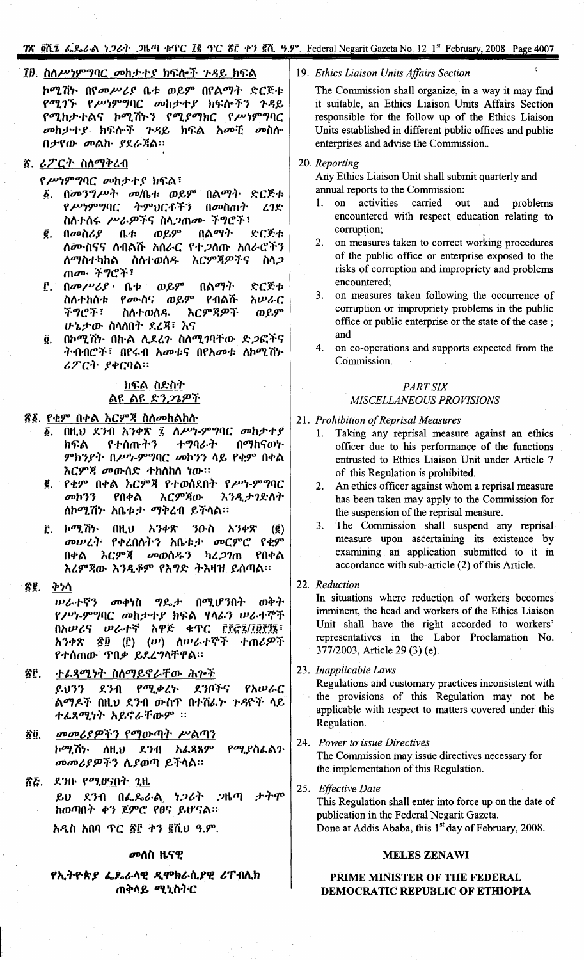## 78 gλ ζ L L L 2008 Page 4007

## ፲፱. ስለሥነምግባር መከታተያ ክፍሎች ጉዳይ ክፍል

ኮሚሽኮ በየመሥሪያ ቤቱ ወይም በየልማት ድርጅቱ የሚገኙ የሥነምግባር መከታተያ ክፍሎችን ጉዳይ የሚከታተልና ኮሚሽኑን የሚያማክር የሥነምግባር መከታተያ ክፍሎች ጉዳይ ክፍል አመቺ መስሎ በታየው መልኩ ያደራጃል።

## ኛ. ሪፖርት ስለማቅረብ

የሥነምግባር መከታተያ ክፍል፣

- ፩. በመንግሥት መ/ቤቱ ወይም በልማት ድርጅቱ የሥነምግባር ትምህርቶችን በመስጠት 27.8 ስስተሰሩ ሥራዎችና ስላ*ጋ*ጠሙ ችግሮች፣
- ወይም በልማት ድርጅቱ ĝ. በመስሪያ  $0-t$ ለሙስናና ለብልሹ አሰራር የተ*ጋ*ለጡ አሰራሮችን ለማስተካከል ስለተወሰዱ እርምጃዎችና ስላጋ ጠሙ ችግሮች፣
- ወይም  $\mathbf{f}$ .  $\mathbf{0}$   $\mathbf{w}$   $\mathbf{w}$   $\mathbf{c}$   $\mathbf{e}$   $\mathbf{u}$   $\mathbf{r}$ በልማት ድርጅቱ ስስተከሰቱ የሙስና ወይም አሠራር የብልሹ ችግሮች፣ እርምጃዎች ስስተወሰዱ ወይም ሁኔታው ስሳሰበት ደረጃ፣ እና
- Ö. በኮሚሽኑ በኩል ሊደረጉ ስለሚ*ገ*ባቸው ድ*ጋ*ፎችና ትብብሮች፣ በየሩብ አመቱና በየአመቱ ስኮሚሽኮ ሪፖርት ያቀርባል።

## ክፍል ስድስት <u>ልዩ ልዩ ድን*ጋጌ*ዎች</u>

## ኛ፩. የቂም በቀል እርምጃ ስለመከልከሱ

- ፩. በዚህ ደንብ አንቀጽ ፯ ስሥነ-ምግባር መከታተያ ተግባራት በማከናወኮ ክፍል የተሰጡትን ምክንያት በሥነ-ምግባር መኮንን ሳይ የቂም በቀል እርምጃ መውሰድ ተከስከስ ነው።
- ፪. የቂም በቀል እርምጃ የተወሰደበት የሥነ-ምግባር  $\omega$ <sub>0</sub>  $\gamma$ የበቀል እርምጃው እንዲታገድለት ስኮሚሽኮ አቤቱታ ማቅረብ ይችላል።
- ኮሚሽኮ  $0H<sub>u</sub>$ አንቀጽ ንዑስ አንቀጽ  $\mathbf{r}$  $\left( \mathbf{g} \right)$ መሠረት የቀረበሰትን አቤቱታ መርምሮ የቂም እርምጃ መወሰዱን ካረ*ጋገ*ጠ የበቀል በቀል እሪምጃው እንዲቆም የእግድ ትእዛዝ ይሰጣል።

#### Ãĝ. ቅነሳ

ሠራተኛን መቀነስ ግዴታ በሚሆንበት ወቅት የሥነ-ምግባር መከታተያ ክፍል ሃሳፊን ሠራተኞች በአሠሪና ሠራተኛ አዋጅ ቁጥር ፫፻፸፯/፲፱፻፺፮፣ ኛ፱ (፫) (ሥ) ስሥራተኞች ተጠሪዎች አንቀጽ የተሰጠው ጥበቃ ይደረግሳቸዋል።

- ÄË. ተልጸሚነት ስለማይኖራቸው ሕጉች የሚቃረኮ ደንቦችና  $8033$ ደንብ የአሠራር ልማዶች በዚህ ደንብ ውስጥ በተሸፌኮ ጉዳዮች ላይ ተልጻሚነት አይኖራቸውም ፡፡
- መመሪያዎችን የማውጣት ሥልጣን ÄÔ. ኮሚሽኑ ስዚህ ደንብ አፌጻጸም የሚያስፌልጉ መመሪያዎችን ሲያወጣ ይችላል።
- ŜĞ. ደንቡ *የሚፀ*ናበት ጊዜ ታትሞ ደንብ በፌጼራል ነ*ጋ*ሪት *ጋ*ዜጣ  $\mathcal{L} \mathcal{U}$ ከወጣበት ቀን ጀምሮ የፀና ይሆናል።

አዲስ አበባ ጥር ፳፫ ቀን ፪ሺህ ዓ.ም.

## *መ*ሰስ ዜናዊ

## የኢትዮጵያ ፌዴራሳዊ ዲሞክራሲያዊ ሪፐብሊክ ጠቅሳይ *ሚኒ*ስትር

## 19. Ethics Liaison Units Affairs Section

The Commission shall organize, in a way it may find it suitable, an Ethics Liaison Units Affairs Section responsible for the follow up of the Ethics Liaison Units established in different public offices and public enterprises and advise the Commission..

## 20. Reporting

Any Ethics Liaison Unit shall submit quarterly and annual reports to the Commission:

- activities carried out and problems on  $1.$ encountered with respect education relating to corruption;
- $2.$ on measures taken to correct working procedures of the public office or enterprise exposed to the risks of corruption and impropriety and problems encountered:
- $3<sub>1</sub>$ on measures taken following the occurrence of corruption or impropriety problems in the public office or public enterprise or the state of the case; and
- 4. on co-operations and supports expected from the Commission.

## **PART SIX** MISCELLANEOUS PROVISIONS

21. Prohibition of Reprisal Measures

- Taking any reprisal measure against an ethics  $1.$ officer due to his performance of the functions entrusted to Ethics Liaison Unit under Article 7 of this Regulation is prohibited.
- 2. An ethics officer against whom a reprisal measure has been taken may apply to the Commission for the suspension of the reprisal measure.
- The Commission shall suspend any reprisal  $3.$ measure upon ascertaining its existence by examining an application submitted to it in accordance with sub-article (2) of this Article.
- 22. Reduction

In situations where reduction of workers becomes imminent, the head and workers of the Ethics Liaison Unit shall have the right accorded to workers' representatives in the Labor Proclamation No. 377/2003, Article 29 (3) (e).

23. Inapplicable Laws

Regulations and customary practices inconsistent with the provisions of this Regulation may not be applicable with respect to matters covered under this Regulation.

## 24. Power to issue Directives

The Commission may issue directives necessary for the implementation of this Regulation.

## 25. Effective Date

This Regulation shall enter into force up on the date of publication in the Federal Negarit Gazeta. Done at Addis Ababa, this 1<sup>st</sup> day of February, 2008.

## **MELES ZENAWI**

## PRIME MINISTER OF THE FEDERAL DEMOCRATIC REPUBLIC OF ETHIOPIA